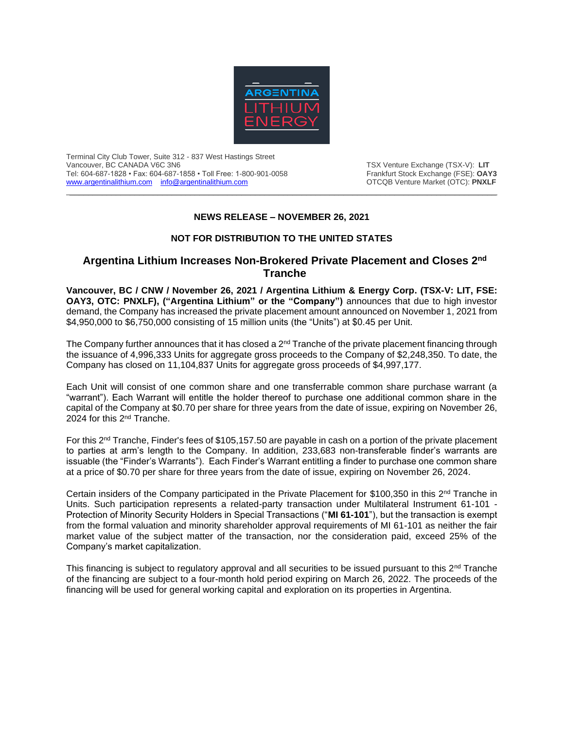

Terminal City Club Tower, Suite 312 - 837 West Hastings Street Vancouver, BC CANADA V6C 3N6<br>Tel: 604-687-1828 • Fax: 604-687-1858 • Toll Free: 1-800-901-0058 Trankfurt Stock Exchange (FSE): **OAY3** Tel: 604-687-1828 • Fax: 604-687-1858 • Toll Free: 1-800-901-0058 Frankfurt Stock Exchange (FSE): **OAY3**<br>www.argentinalithium.com info@argentinalithium.com **Frankfurt Stock Exchange (FSE):** PNXLF [www.argentinalithium.com](http://www.argentinalithium.com/) [info@argentinalithium.com](mailto:info@argentinalithium.com)

## **NEWS RELEASE – NOVEMBER 26, 2021**

 $\_$  , and the state of the state of the state of the state of the state of the state of the state of the state of the state of the state of the state of the state of the state of the state of the state of the state of the

## **NOT FOR DISTRIBUTION TO THE UNITED STATES**

## **Argentina Lithium Increases Non-Brokered Private Placement and Closes 2nd Tranche**

**Vancouver, BC / CNW / November 26, 2021 / Argentina Lithium & Energy Corp. (TSX-V: LIT, FSE: OAY3, OTC: PNXLF), ("Argentina Lithium" or the "Company")** announces that due to high investor demand, the Company has increased the private placement amount announced on November 1, 2021 from \$4,950,000 to \$6,750,000 consisting of 15 million units (the "Units") at \$0.45 per Unit.

The Company further announces that it has closed a  $2<sup>nd</sup>$  Tranche of the private placement financing through the issuance of 4,996,333 Units for aggregate gross proceeds to the Company of \$2,248,350. To date, the Company has closed on 11,104,837 Units for aggregate gross proceeds of \$4,997,177.

Each Unit will consist of one common share and one transferrable common share purchase warrant (a "warrant"). Each Warrant will entitle the holder thereof to purchase one additional common share in the capital of the Company at \$0.70 per share for three years from the date of issue, expiring on November 26, 2024 for this 2nd Tranche.

For this 2nd Tranche, Finder's fees of \$105,157.50 are payable in cash on a portion of the private placement to parties at arm's length to the Company. In addition, 233,683 non-transferable finder's warrants are issuable (the "Finder's Warrants"). Each Finder's Warrant entitling a finder to purchase one common share at a price of \$0.70 per share for three years from the date of issue, expiring on November 26, 2024.

Certain insiders of the Company participated in the Private Placement for \$100,350 in this 2<sup>nd</sup> Tranche in Units. Such participation represents a related-party transaction under Multilateral Instrument 61-101 - Protection of Minority Security Holders in Special Transactions ("**MI 61-101**"), but the transaction is exempt from the formal valuation and minority shareholder approval requirements of MI 61-101 as neither the fair market value of the subject matter of the transaction, nor the consideration paid, exceed 25% of the Company's market capitalization.

This financing is subject to regulatory approval and all securities to be issued pursuant to this  $2<sup>nd</sup>$  Tranche of the financing are subject to a four-month hold period expiring on March 26, 2022. The proceeds of the financing will be used for general working capital and exploration on its properties in Argentina.